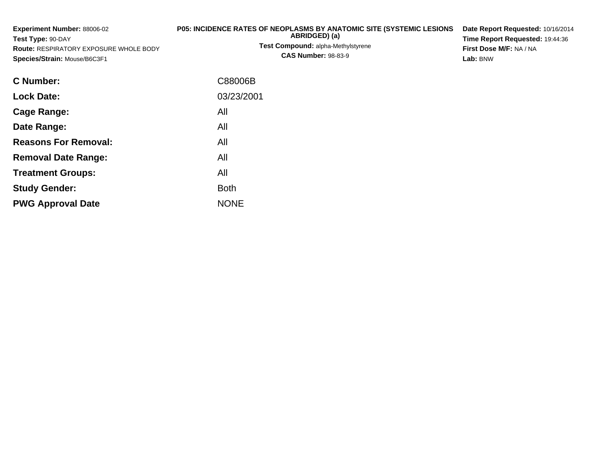| Experiment Number: 88006-02<br>Test Type: 90-DAY<br><b>Route: RESPIRATORY EXPOSURE WHOLE BODY</b><br>Species/Strain: Mouse/B6C3F1 | P05: INCIDENCE RATES OF NEOPLASMS BY ANATOMIC SITE (SYSTEMIC LESIONS<br>ABRIDGED) (a)<br>Test Compound: alpha-Methylstyrene<br><b>CAS Number: 98-83-9</b> | Date Report Requested: 10/16/2014<br>Time Report Requested: 19:44:36<br>First Dose M/F: NA / NA<br>Lab: BNW |
|-----------------------------------------------------------------------------------------------------------------------------------|-----------------------------------------------------------------------------------------------------------------------------------------------------------|-------------------------------------------------------------------------------------------------------------|
| C Number:                                                                                                                         | C88006B                                                                                                                                                   |                                                                                                             |
| <b>Lock Date:</b>                                                                                                                 | 03/23/2001                                                                                                                                                |                                                                                                             |
| <b>Cage Range:</b>                                                                                                                | All                                                                                                                                                       |                                                                                                             |
| Date Range:                                                                                                                       | All                                                                                                                                                       |                                                                                                             |
| <b>Reasons For Removal:</b>                                                                                                       | All                                                                                                                                                       |                                                                                                             |
| <b>Removal Date Range:</b>                                                                                                        | All                                                                                                                                                       |                                                                                                             |
| <b>Treatment Groups:</b>                                                                                                          | All                                                                                                                                                       |                                                                                                             |
| <b>Study Gender:</b>                                                                                                              | <b>Both</b>                                                                                                                                               |                                                                                                             |

e NONE

**PWG Approval Date**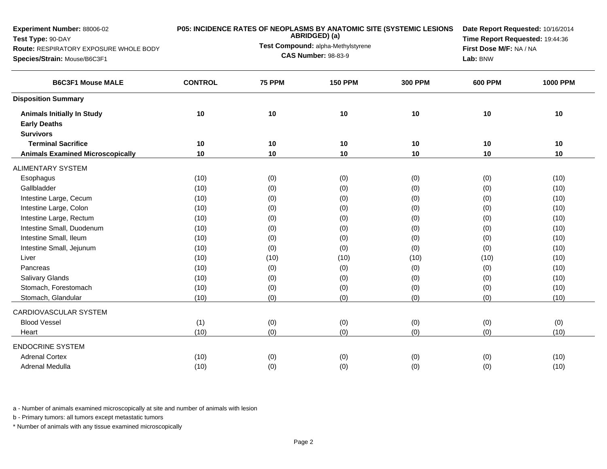| <b>B6C3F1 Mouse MALE</b><br><b>CONTROL</b><br><b>75 PPM</b><br><b>150 PPM</b><br><b>300 PPM</b><br><b>600 PPM</b><br><b>1000 PPM</b><br><b>Disposition Summary</b><br>10<br>10<br>10<br>10<br>10<br>10<br><b>Animals Initially In Study</b><br><b>Early Deaths</b><br><b>Survivors</b><br><b>Terminal Sacrifice</b><br>10<br>10<br>10<br>10<br>10<br>10<br>10<br>10<br><b>Animals Examined Microscopically</b><br>10<br>10<br>10<br>10<br><b>ALIMENTARY SYSTEM</b><br>(0)<br>(0)<br>(0)<br>(10)<br>(0)<br>(10)<br>Esophagus<br>Gallbladder<br>(10)<br>(0)<br>(0)<br>(0)<br>(0)<br>(10)<br>(0)<br>Intestine Large, Cecum<br>(10)<br>(0)<br>(0)<br>(0)<br>(10)<br>Intestine Large, Colon<br>(0)<br>(10)<br>(10)<br>(0)<br>(0)<br>(0)<br>Intestine Large, Rectum<br>(10)<br>(0)<br>(10)<br>(0)<br>(0)<br>(0)<br>Intestine Small, Duodenum<br>(0)<br>(10)<br>(0)<br>(0)<br>(10)<br>(0)<br>Intestine Small, Ileum<br>(0)<br>(0)<br>(10)<br>(10)<br>(0)<br>(0)<br>Intestine Small, Jejunum<br>(0)<br>(0)<br>(0)<br>(10)<br>(10)<br>(0)<br>Liver<br>(10)<br>(10)<br>(10)<br>(10)<br>(10)<br>(10)<br>(0)<br>(10)<br>(0)<br>(0)<br>(0)<br>(10)<br>Pancreas<br><b>Salivary Glands</b><br>(10)<br>(0)<br>(0)<br>(0)<br>(10)<br>(0)<br>Stomach, Forestomach<br>(0)<br>(0)<br>(10)<br>(10)<br>(0)<br>(0)<br>Stomach, Glandular<br>(0)<br>(0)<br>(0)<br>(10)<br>(10)<br>(0)<br>CARDIOVASCULAR SYSTEM<br><b>Blood Vessel</b><br>(1)<br>(0)<br>(0)<br>(0)<br>(0)<br>(0)<br>(0)<br>(10)<br>(0)<br>(0)<br>(0)<br>(10)<br>Heart<br><b>ENDOCRINE SYSTEM</b><br><b>Adrenal Cortex</b><br>(10)<br>(0)<br>(0)<br>(0)<br>(0)<br>(10)<br>(10)<br><b>Adrenal Medulla</b><br>(0)<br>(0)<br>(0)<br>(0)<br>(10) | Experiment Number: 88006-02<br>Test Type: 90-DAY<br>Route: RESPIRATORY EXPOSURE WHOLE BODY<br>Species/Strain: Mouse/B6C3F1 | <b>P05: INCIDENCE RATES OF NEOPLASMS BY ANATOMIC SITE (SYSTEMIC LESIONS</b><br>ABRIDGED) (a)<br>Test Compound: alpha-Methylstyrene<br><b>CAS Number: 98-83-9</b> | Date Report Requested: 10/16/2014<br>Time Report Requested: 19:44:36<br>First Dose M/F: NA / NA<br>Lab: BNW |  |  |
|------------------------------------------------------------------------------------------------------------------------------------------------------------------------------------------------------------------------------------------------------------------------------------------------------------------------------------------------------------------------------------------------------------------------------------------------------------------------------------------------------------------------------------------------------------------------------------------------------------------------------------------------------------------------------------------------------------------------------------------------------------------------------------------------------------------------------------------------------------------------------------------------------------------------------------------------------------------------------------------------------------------------------------------------------------------------------------------------------------------------------------------------------------------------------------------------------------------------------------------------------------------------------------------------------------------------------------------------------------------------------------------------------------------------------------------------------------------------------------------------------------------------------------------------------------------------------------------------------------------------------------------------------------------------------------|----------------------------------------------------------------------------------------------------------------------------|------------------------------------------------------------------------------------------------------------------------------------------------------------------|-------------------------------------------------------------------------------------------------------------|--|--|
|                                                                                                                                                                                                                                                                                                                                                                                                                                                                                                                                                                                                                                                                                                                                                                                                                                                                                                                                                                                                                                                                                                                                                                                                                                                                                                                                                                                                                                                                                                                                                                                                                                                                                    |                                                                                                                            |                                                                                                                                                                  |                                                                                                             |  |  |
|                                                                                                                                                                                                                                                                                                                                                                                                                                                                                                                                                                                                                                                                                                                                                                                                                                                                                                                                                                                                                                                                                                                                                                                                                                                                                                                                                                                                                                                                                                                                                                                                                                                                                    |                                                                                                                            |                                                                                                                                                                  |                                                                                                             |  |  |
|                                                                                                                                                                                                                                                                                                                                                                                                                                                                                                                                                                                                                                                                                                                                                                                                                                                                                                                                                                                                                                                                                                                                                                                                                                                                                                                                                                                                                                                                                                                                                                                                                                                                                    |                                                                                                                            |                                                                                                                                                                  |                                                                                                             |  |  |
|                                                                                                                                                                                                                                                                                                                                                                                                                                                                                                                                                                                                                                                                                                                                                                                                                                                                                                                                                                                                                                                                                                                                                                                                                                                                                                                                                                                                                                                                                                                                                                                                                                                                                    |                                                                                                                            |                                                                                                                                                                  |                                                                                                             |  |  |
|                                                                                                                                                                                                                                                                                                                                                                                                                                                                                                                                                                                                                                                                                                                                                                                                                                                                                                                                                                                                                                                                                                                                                                                                                                                                                                                                                                                                                                                                                                                                                                                                                                                                                    |                                                                                                                            |                                                                                                                                                                  |                                                                                                             |  |  |
|                                                                                                                                                                                                                                                                                                                                                                                                                                                                                                                                                                                                                                                                                                                                                                                                                                                                                                                                                                                                                                                                                                                                                                                                                                                                                                                                                                                                                                                                                                                                                                                                                                                                                    |                                                                                                                            |                                                                                                                                                                  |                                                                                                             |  |  |
|                                                                                                                                                                                                                                                                                                                                                                                                                                                                                                                                                                                                                                                                                                                                                                                                                                                                                                                                                                                                                                                                                                                                                                                                                                                                                                                                                                                                                                                                                                                                                                                                                                                                                    |                                                                                                                            |                                                                                                                                                                  |                                                                                                             |  |  |
|                                                                                                                                                                                                                                                                                                                                                                                                                                                                                                                                                                                                                                                                                                                                                                                                                                                                                                                                                                                                                                                                                                                                                                                                                                                                                                                                                                                                                                                                                                                                                                                                                                                                                    |                                                                                                                            |                                                                                                                                                                  |                                                                                                             |  |  |
|                                                                                                                                                                                                                                                                                                                                                                                                                                                                                                                                                                                                                                                                                                                                                                                                                                                                                                                                                                                                                                                                                                                                                                                                                                                                                                                                                                                                                                                                                                                                                                                                                                                                                    |                                                                                                                            |                                                                                                                                                                  |                                                                                                             |  |  |
|                                                                                                                                                                                                                                                                                                                                                                                                                                                                                                                                                                                                                                                                                                                                                                                                                                                                                                                                                                                                                                                                                                                                                                                                                                                                                                                                                                                                                                                                                                                                                                                                                                                                                    |                                                                                                                            |                                                                                                                                                                  |                                                                                                             |  |  |
|                                                                                                                                                                                                                                                                                                                                                                                                                                                                                                                                                                                                                                                                                                                                                                                                                                                                                                                                                                                                                                                                                                                                                                                                                                                                                                                                                                                                                                                                                                                                                                                                                                                                                    |                                                                                                                            |                                                                                                                                                                  |                                                                                                             |  |  |
|                                                                                                                                                                                                                                                                                                                                                                                                                                                                                                                                                                                                                                                                                                                                                                                                                                                                                                                                                                                                                                                                                                                                                                                                                                                                                                                                                                                                                                                                                                                                                                                                                                                                                    |                                                                                                                            |                                                                                                                                                                  |                                                                                                             |  |  |
|                                                                                                                                                                                                                                                                                                                                                                                                                                                                                                                                                                                                                                                                                                                                                                                                                                                                                                                                                                                                                                                                                                                                                                                                                                                                                                                                                                                                                                                                                                                                                                                                                                                                                    |                                                                                                                            |                                                                                                                                                                  |                                                                                                             |  |  |
|                                                                                                                                                                                                                                                                                                                                                                                                                                                                                                                                                                                                                                                                                                                                                                                                                                                                                                                                                                                                                                                                                                                                                                                                                                                                                                                                                                                                                                                                                                                                                                                                                                                                                    |                                                                                                                            |                                                                                                                                                                  |                                                                                                             |  |  |
|                                                                                                                                                                                                                                                                                                                                                                                                                                                                                                                                                                                                                                                                                                                                                                                                                                                                                                                                                                                                                                                                                                                                                                                                                                                                                                                                                                                                                                                                                                                                                                                                                                                                                    |                                                                                                                            |                                                                                                                                                                  |                                                                                                             |  |  |
|                                                                                                                                                                                                                                                                                                                                                                                                                                                                                                                                                                                                                                                                                                                                                                                                                                                                                                                                                                                                                                                                                                                                                                                                                                                                                                                                                                                                                                                                                                                                                                                                                                                                                    |                                                                                                                            |                                                                                                                                                                  |                                                                                                             |  |  |
|                                                                                                                                                                                                                                                                                                                                                                                                                                                                                                                                                                                                                                                                                                                                                                                                                                                                                                                                                                                                                                                                                                                                                                                                                                                                                                                                                                                                                                                                                                                                                                                                                                                                                    |                                                                                                                            |                                                                                                                                                                  |                                                                                                             |  |  |
|                                                                                                                                                                                                                                                                                                                                                                                                                                                                                                                                                                                                                                                                                                                                                                                                                                                                                                                                                                                                                                                                                                                                                                                                                                                                                                                                                                                                                                                                                                                                                                                                                                                                                    |                                                                                                                            |                                                                                                                                                                  |                                                                                                             |  |  |
|                                                                                                                                                                                                                                                                                                                                                                                                                                                                                                                                                                                                                                                                                                                                                                                                                                                                                                                                                                                                                                                                                                                                                                                                                                                                                                                                                                                                                                                                                                                                                                                                                                                                                    |                                                                                                                            |                                                                                                                                                                  |                                                                                                             |  |  |
|                                                                                                                                                                                                                                                                                                                                                                                                                                                                                                                                                                                                                                                                                                                                                                                                                                                                                                                                                                                                                                                                                                                                                                                                                                                                                                                                                                                                                                                                                                                                                                                                                                                                                    |                                                                                                                            |                                                                                                                                                                  |                                                                                                             |  |  |
|                                                                                                                                                                                                                                                                                                                                                                                                                                                                                                                                                                                                                                                                                                                                                                                                                                                                                                                                                                                                                                                                                                                                                                                                                                                                                                                                                                                                                                                                                                                                                                                                                                                                                    |                                                                                                                            |                                                                                                                                                                  |                                                                                                             |  |  |
|                                                                                                                                                                                                                                                                                                                                                                                                                                                                                                                                                                                                                                                                                                                                                                                                                                                                                                                                                                                                                                                                                                                                                                                                                                                                                                                                                                                                                                                                                                                                                                                                                                                                                    |                                                                                                                            |                                                                                                                                                                  |                                                                                                             |  |  |
|                                                                                                                                                                                                                                                                                                                                                                                                                                                                                                                                                                                                                                                                                                                                                                                                                                                                                                                                                                                                                                                                                                                                                                                                                                                                                                                                                                                                                                                                                                                                                                                                                                                                                    |                                                                                                                            |                                                                                                                                                                  |                                                                                                             |  |  |
|                                                                                                                                                                                                                                                                                                                                                                                                                                                                                                                                                                                                                                                                                                                                                                                                                                                                                                                                                                                                                                                                                                                                                                                                                                                                                                                                                                                                                                                                                                                                                                                                                                                                                    |                                                                                                                            |                                                                                                                                                                  |                                                                                                             |  |  |
|                                                                                                                                                                                                                                                                                                                                                                                                                                                                                                                                                                                                                                                                                                                                                                                                                                                                                                                                                                                                                                                                                                                                                                                                                                                                                                                                                                                                                                                                                                                                                                                                                                                                                    |                                                                                                                            |                                                                                                                                                                  |                                                                                                             |  |  |

b - Primary tumors: all tumors except metastatic tumors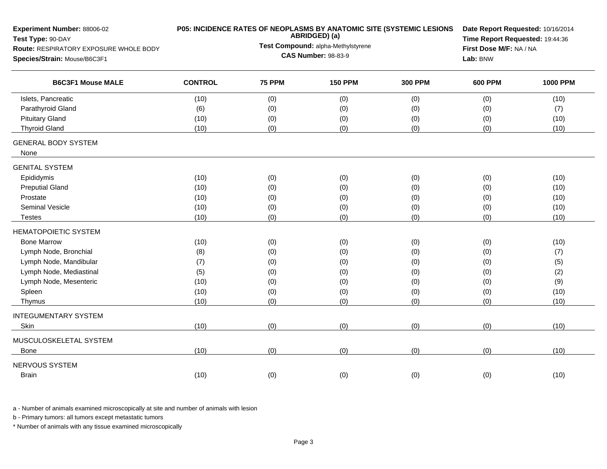| Experiment Number: 88006-02<br>Test Type: 90-DAY |                | P05: INCIDENCE RATES OF NEOPLASMS BY ANATOMIC SITE (SYSTEMIC LESIONS<br>ABRIDGED) (a) | Date Report Requested: 10/16/2014<br>Time Report Requested: 19:44:36 |                |                |                 |
|--------------------------------------------------|----------------|---------------------------------------------------------------------------------------|----------------------------------------------------------------------|----------------|----------------|-----------------|
| Route: RESPIRATORY EXPOSURE WHOLE BODY           |                | Test Compound: alpha-Methylstyrene                                                    | First Dose M/F: NA / NA                                              |                |                |                 |
| Species/Strain: Mouse/B6C3F1                     |                |                                                                                       | <b>CAS Number: 98-83-9</b>                                           |                | Lab: BNW       |                 |
| <b>B6C3F1 Mouse MALE</b>                         | <b>CONTROL</b> | <b>75 PPM</b>                                                                         | <b>150 PPM</b>                                                       | <b>300 PPM</b> | <b>600 PPM</b> | <b>1000 PPM</b> |
| Islets, Pancreatic                               | (10)           | (0)                                                                                   | (0)                                                                  | (0)            | (0)            | (10)            |
| Parathyroid Gland                                | (6)            | (0)                                                                                   | (0)                                                                  | (0)            | (0)            | (7)             |
| <b>Pituitary Gland</b>                           | (10)           | (0)                                                                                   | (0)                                                                  | (0)            | (0)            | (10)            |
| <b>Thyroid Gland</b>                             | (10)           | (0)                                                                                   | (0)                                                                  | (0)            | (0)            | (10)            |
| <b>GENERAL BODY SYSTEM</b><br>None               |                |                                                                                       |                                                                      |                |                |                 |
| <b>GENITAL SYSTEM</b>                            |                |                                                                                       |                                                                      |                |                |                 |
| Epididymis                                       | (10)           | (0)                                                                                   | (0)                                                                  | (0)            | (0)            | (10)            |
| <b>Preputial Gland</b>                           | (10)           | (0)                                                                                   | (0)                                                                  | (0)            | (0)            | (10)            |
| Prostate                                         | (10)           | (0)                                                                                   | (0)                                                                  | (0)            | (0)            | (10)            |
| <b>Seminal Vesicle</b>                           | (10)           | (0)                                                                                   | (0)                                                                  | (0)            | (0)            | (10)            |
| <b>Testes</b>                                    | (10)           | (0)                                                                                   | (0)                                                                  | (0)            | (0)            | (10)            |
| <b>HEMATOPOIETIC SYSTEM</b>                      |                |                                                                                       |                                                                      |                |                |                 |
| <b>Bone Marrow</b>                               | (10)           | (0)                                                                                   | (0)                                                                  | (0)            | (0)            | (10)            |
| Lymph Node, Bronchial                            | (8)            | (0)                                                                                   | (0)                                                                  | (0)            | (0)            | (7)             |
| Lymph Node, Mandibular                           | (7)            | (0)                                                                                   | (0)                                                                  | (0)            | (0)            | (5)             |
| Lymph Node, Mediastinal                          | (5)            | (0)                                                                                   | (0)                                                                  | (0)            | (0)            | (2)             |
| Lymph Node, Mesenteric                           | (10)           | (0)                                                                                   | (0)                                                                  | (0)            | (0)            | (9)             |
| Spleen                                           | (10)           | (0)                                                                                   | (0)                                                                  | (0)            | (0)            | (10)            |
| Thymus                                           | (10)           | (0)                                                                                   | (0)                                                                  | (0)            | (0)            | (10)            |
| <b>INTEGUMENTARY SYSTEM</b>                      |                |                                                                                       |                                                                      |                |                |                 |
| Skin                                             | (10)           | (0)                                                                                   | (0)                                                                  | (0)            | (0)            | (10)            |
| MUSCULOSKELETAL SYSTEM                           |                |                                                                                       |                                                                      |                |                |                 |
| <b>Bone</b>                                      | (10)           | (0)                                                                                   | (0)                                                                  | (0)            | (0)            | (10)            |
| NERVOUS SYSTEM                                   |                |                                                                                       |                                                                      |                |                |                 |
| <b>Brain</b>                                     | (10)           | (0)                                                                                   | (0)                                                                  | (0)            | (0)            | (10)            |
|                                                  |                |                                                                                       |                                                                      |                |                |                 |

b - Primary tumors: all tumors except metastatic tumors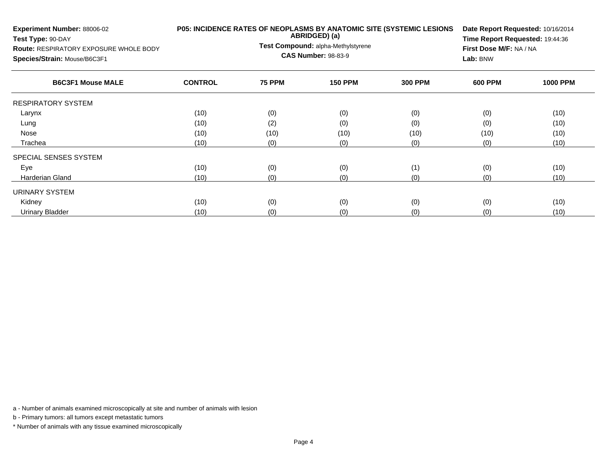| Experiment Number: 88006-02<br>Test Type: 90-DAY<br><b>Route: RESPIRATORY EXPOSURE WHOLE BODY</b><br>Species/Strain: Mouse/B6C3F1 |                | P05: INCIDENCE RATES OF NEOPLASMS BY ANATOMIC SITE (SYSTEMIC LESIONS<br>ABRIDGED) (a)<br>Test Compound: alpha-Methylstyrene<br><b>CAS Number: 98-83-9</b> | Date Report Requested: 10/16/2014<br>Time Report Requested: 19:44:36<br>First Dose M/F: NA / NA<br>Lab: BNW |                |                |                 |
|-----------------------------------------------------------------------------------------------------------------------------------|----------------|-----------------------------------------------------------------------------------------------------------------------------------------------------------|-------------------------------------------------------------------------------------------------------------|----------------|----------------|-----------------|
| <b>B6C3F1 Mouse MALE</b>                                                                                                          | <b>CONTROL</b> | <b>75 PPM</b>                                                                                                                                             | <b>150 PPM</b>                                                                                              | <b>300 PPM</b> | <b>600 PPM</b> | <b>1000 PPM</b> |
| RESPIRATORY SYSTEM                                                                                                                |                |                                                                                                                                                           |                                                                                                             |                |                |                 |
| Larynx                                                                                                                            | (10)           | (0)                                                                                                                                                       | (0)                                                                                                         | (0)            | (0)            | (10)            |
| Lung                                                                                                                              | (10)           | (2)                                                                                                                                                       | (0)                                                                                                         | (0)            | (0)            | (10)            |
| Nose                                                                                                                              | (10)           | (10)                                                                                                                                                      | (10)                                                                                                        | (10)           | (10)           | (10)            |
| Trachea                                                                                                                           | (10)           | (0)                                                                                                                                                       | (0)                                                                                                         | (0)            | (0)            | (10)            |
| SPECIAL SENSES SYSTEM                                                                                                             |                |                                                                                                                                                           |                                                                                                             |                |                |                 |
| Eye                                                                                                                               | (10)           | (0)                                                                                                                                                       | (0)                                                                                                         | (1)            | (0)            | (10)            |
| <b>Harderian Gland</b>                                                                                                            | (10)           | (0)                                                                                                                                                       | (0)                                                                                                         | (0)            | (0)            | (10)            |
| URINARY SYSTEM                                                                                                                    |                |                                                                                                                                                           |                                                                                                             |                |                |                 |
| Kidney                                                                                                                            | (10)           | (0)                                                                                                                                                       | (0)                                                                                                         | (0)            | (0)            | (10)            |
| <b>Urinary Bladder</b>                                                                                                            | (10)           | (0)                                                                                                                                                       | (0)                                                                                                         | (0)            | (0)            | (10)            |

b - Primary tumors: all tumors except metastatic tumors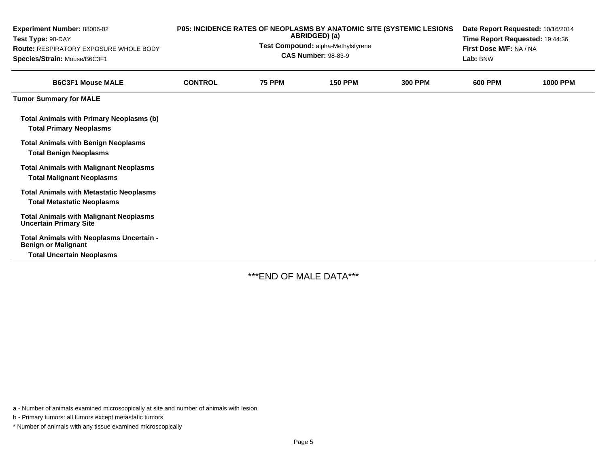| Experiment Number: 88006-02<br>Test Type: 90-DAY<br><b>Route: RESPIRATORY EXPOSURE WHOLE BODY</b><br>Species/Strain: Mouse/B6C3F1 |                | P05: INCIDENCE RATES OF NEOPLASMS BY ANATOMIC SITE (SYSTEMIC LESIONS<br>ABRIDGED) (a)<br>Test Compound: alpha-Methylstyrene<br><b>CAS Number: 98-83-9</b> | Date Report Requested: 10/16/2014<br>Time Report Requested: 19:44:36<br>First Dose M/F: NA / NA<br>Lab: BNW |                |                |                 |
|-----------------------------------------------------------------------------------------------------------------------------------|----------------|-----------------------------------------------------------------------------------------------------------------------------------------------------------|-------------------------------------------------------------------------------------------------------------|----------------|----------------|-----------------|
| <b>B6C3F1 Mouse MALE</b>                                                                                                          | <b>CONTROL</b> | <b>75 PPM</b>                                                                                                                                             | <b>150 PPM</b>                                                                                              | <b>300 PPM</b> | <b>600 PPM</b> | <b>1000 PPM</b> |
| <b>Tumor Summary for MALE</b>                                                                                                     |                |                                                                                                                                                           |                                                                                                             |                |                |                 |
| <b>Total Animals with Primary Neoplasms (b)</b><br><b>Total Primary Neoplasms</b>                                                 |                |                                                                                                                                                           |                                                                                                             |                |                |                 |
| <b>Total Animals with Benign Neoplasms</b><br><b>Total Benign Neoplasms</b>                                                       |                |                                                                                                                                                           |                                                                                                             |                |                |                 |
| <b>Total Animals with Malignant Neoplasms</b><br><b>Total Malignant Neoplasms</b>                                                 |                |                                                                                                                                                           |                                                                                                             |                |                |                 |
| <b>Total Animals with Metastatic Neoplasms</b><br><b>Total Metastatic Neoplasms</b>                                               |                |                                                                                                                                                           |                                                                                                             |                |                |                 |
| <b>Total Animals with Malignant Neoplasms</b><br><b>Uncertain Primary Site</b>                                                    |                |                                                                                                                                                           |                                                                                                             |                |                |                 |
| Total Animals with Neoplasms Uncertain -<br><b>Benign or Malignant</b><br><b>Total Uncertain Neoplasms</b>                        |                |                                                                                                                                                           |                                                                                                             |                |                |                 |

\*\*\*END OF MALE DATA\*\*\*

a - Number of animals examined microscopically at site and number of animals with lesion

b - Primary tumors: all tumors except metastatic tumors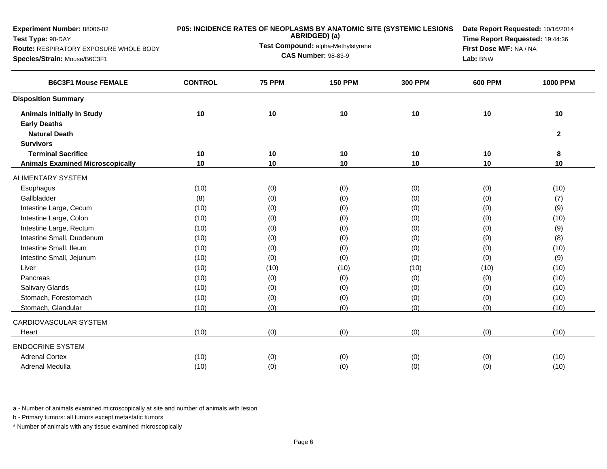| Experiment Number: 88006-02<br>Test Type: 90-DAY<br>Route: RESPIRATORY EXPOSURE WHOLE BODY<br>Species/Strain: Mouse/B6C3F1 |                | <b>P05: INCIDENCE RATES OF NEOPLASMS BY ANATOMIC SITE (SYSTEMIC LESIONS</b><br>ABRIDGED) (a)<br>Test Compound: alpha-Methylstyrene<br><b>CAS Number: 98-83-9</b> | Date Report Requested: 10/16/2014<br>Time Report Requested: 19:44:36<br>First Dose M/F: NA / NA<br>Lab: BNW |                |                |                 |
|----------------------------------------------------------------------------------------------------------------------------|----------------|------------------------------------------------------------------------------------------------------------------------------------------------------------------|-------------------------------------------------------------------------------------------------------------|----------------|----------------|-----------------|
| <b>B6C3F1 Mouse FEMALE</b>                                                                                                 | <b>CONTROL</b> | <b>75 PPM</b>                                                                                                                                                    | <b>150 PPM</b>                                                                                              | <b>300 PPM</b> | <b>600 PPM</b> | <b>1000 PPM</b> |
| <b>Disposition Summary</b>                                                                                                 |                |                                                                                                                                                                  |                                                                                                             |                |                |                 |
| <b>Animals Initially In Study</b><br><b>Early Deaths</b>                                                                   | 10             | 10                                                                                                                                                               | 10                                                                                                          | 10             | 10             | 10              |
| <b>Natural Death</b><br><b>Survivors</b>                                                                                   |                |                                                                                                                                                                  |                                                                                                             |                |                | $\mathbf{2}$    |
| <b>Terminal Sacrifice</b>                                                                                                  | 10             | 10                                                                                                                                                               | 10                                                                                                          | 10             | 10             | 8               |
| <b>Animals Examined Microscopically</b>                                                                                    | 10             | 10                                                                                                                                                               | 10                                                                                                          | 10             | 10             | 10              |
| <b>ALIMENTARY SYSTEM</b>                                                                                                   |                |                                                                                                                                                                  |                                                                                                             |                |                |                 |
| Esophagus                                                                                                                  | (10)           | (0)                                                                                                                                                              | (0)                                                                                                         | (0)            | (0)            | (10)            |
| Gallbladder                                                                                                                | (8)            | (0)                                                                                                                                                              | (0)                                                                                                         | (0)            | (0)            | (7)             |
| Intestine Large, Cecum                                                                                                     | (10)           | (0)                                                                                                                                                              | (0)                                                                                                         | (0)            | (0)            | (9)             |
| Intestine Large, Colon                                                                                                     | (10)           | (0)                                                                                                                                                              | (0)                                                                                                         | (0)            | (0)            | (10)            |
| Intestine Large, Rectum                                                                                                    | (10)           | (0)                                                                                                                                                              | (0)                                                                                                         | (0)            | (0)            | (9)             |
| Intestine Small, Duodenum                                                                                                  | (10)           | (0)                                                                                                                                                              | (0)                                                                                                         | (0)            | (0)            | (8)             |
| Intestine Small, Ileum                                                                                                     | (10)           | (0)                                                                                                                                                              | (0)                                                                                                         | (0)            | (0)            | (10)            |
| Intestine Small, Jejunum                                                                                                   | (10)           | (0)                                                                                                                                                              | (0)                                                                                                         | (0)            | (0)            | (9)             |
| Liver                                                                                                                      | (10)           | (10)                                                                                                                                                             | (10)                                                                                                        | (10)           | (10)           | (10)            |
| Pancreas                                                                                                                   | (10)           | (0)                                                                                                                                                              | (0)                                                                                                         | (0)            | (0)            | (10)            |
| <b>Salivary Glands</b>                                                                                                     | (10)           | (0)                                                                                                                                                              | (0)                                                                                                         | (0)            | (0)            | (10)            |
| Stomach, Forestomach                                                                                                       | (10)           | (0)                                                                                                                                                              | (0)                                                                                                         | (0)            | (0)            | (10)            |
| Stomach, Glandular                                                                                                         | (10)           | (0)                                                                                                                                                              | (0)                                                                                                         | (0)            | (0)            | (10)            |
| CARDIOVASCULAR SYSTEM                                                                                                      |                |                                                                                                                                                                  |                                                                                                             |                |                |                 |
| Heart                                                                                                                      | (10)           | (0)                                                                                                                                                              | (0)                                                                                                         | (0)            | (0)            | (10)            |
| <b>ENDOCRINE SYSTEM</b>                                                                                                    |                |                                                                                                                                                                  |                                                                                                             |                |                |                 |
| <b>Adrenal Cortex</b>                                                                                                      | (10)           | (0)                                                                                                                                                              | (0)                                                                                                         | (0)            | (0)            | (10)            |
| Adrenal Medulla                                                                                                            | (10)           | (0)                                                                                                                                                              | (0)                                                                                                         | (0)            | (0)            | (10)            |
|                                                                                                                            |                |                                                                                                                                                                  |                                                                                                             |                |                |                 |

b - Primary tumors: all tumors except metastatic tumors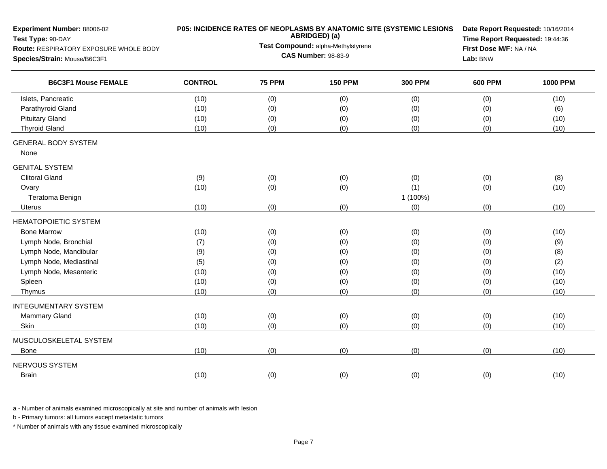| Test Compound: alpha-Methylstyrene<br>First Dose M/F: NA / NA<br>Route: RESPIRATORY EXPOSURE WHOLE BODY<br><b>CAS Number: 98-83-9</b><br>Lab: BNW<br><b>B6C3F1 Mouse FEMALE</b><br><b>CONTROL</b><br><b>75 PPM</b><br><b>150 PPM</b><br><b>300 PPM</b><br><b>1000 PPM</b><br><b>600 PPM</b><br>Islets, Pancreatic<br>(0)<br>(0)<br>(0)<br>(0)<br>(10)<br>(10)<br>Parathyroid Gland<br>(0)<br>(10)<br>(0)<br>(0)<br>(0)<br>(6)<br><b>Pituitary Gland</b><br>(0)<br>(0)<br>(10)<br>(10)<br>(0)<br>(0)<br><b>Thyroid Gland</b><br>(10)<br>(0)<br>(0)<br>(0)<br>(0)<br>(10)<br>None<br><b>Clitoral Gland</b><br>(0)<br>(0)<br>(9)<br>(0)<br>(0)<br>(8)<br>(0)<br>(1)<br>(0)<br>(10)<br>(10)<br>(0)<br>Ovary<br>1 (100%)<br>Teratoma Benign<br>(0)<br>(0)<br>(10)<br>(10)<br>(0)<br>(0)<br><b>Uterus</b><br><b>Bone Marrow</b><br>(10)<br>(0)<br>(0)<br>(0)<br>(0)<br>(10)<br>Lymph Node, Bronchial<br>(0)<br>(0)<br>(0)<br>(9)<br>(7)<br>(0)<br>Lymph Node, Mandibular<br>(0)<br>(0)<br>(0)<br>(0)<br>(8)<br>(9)<br>Lymph Node, Mediastinal<br>(0)<br>(0)<br>(0)<br>(2)<br>(5)<br>(0)<br>Lymph Node, Mesenteric<br>(0)<br>(0)<br>(10)<br>(10)<br>(0)<br>(0)<br>Spleen<br>(10)<br>(10)<br>(0)<br>(0)<br>(0)<br>(0)<br>(10)<br>(0)<br>(0)<br>(0)<br>(10)<br>Thymus<br>(0)<br><b>Mammary Gland</b><br>(0)<br>(0)<br>(0)<br>(0)<br>(10)<br>(10)<br>(0)<br>(10)<br>(10)<br>(0)<br>(0)<br>(0)<br>Skin<br>(0)<br>(10)<br>(0)<br>(0)<br>(0)<br>(10)<br><b>Bone</b><br>(0)<br>(0)<br>(10)<br>(0)<br>(0)<br>(10)<br><b>Brain</b> | Experiment Number: 88006-02<br>Test Type: 90-DAY | P05: INCIDENCE RATES OF NEOPLASMS BY ANATOMIC SITE (SYSTEMIC LESIONS<br>ABRIDGED) (a) | Date Report Requested: 10/16/2014<br>Time Report Requested: 19:44:36 |  |  |
|--------------------------------------------------------------------------------------------------------------------------------------------------------------------------------------------------------------------------------------------------------------------------------------------------------------------------------------------------------------------------------------------------------------------------------------------------------------------------------------------------------------------------------------------------------------------------------------------------------------------------------------------------------------------------------------------------------------------------------------------------------------------------------------------------------------------------------------------------------------------------------------------------------------------------------------------------------------------------------------------------------------------------------------------------------------------------------------------------------------------------------------------------------------------------------------------------------------------------------------------------------------------------------------------------------------------------------------------------------------------------------------------------------------------------------------------------------------------------------------------------------------------|--------------------------------------------------|---------------------------------------------------------------------------------------|----------------------------------------------------------------------|--|--|
|                                                                                                                                                                                                                                                                                                                                                                                                                                                                                                                                                                                                                                                                                                                                                                                                                                                                                                                                                                                                                                                                                                                                                                                                                                                                                                                                                                                                                                                                                                                    |                                                  |                                                                                       |                                                                      |  |  |
|                                                                                                                                                                                                                                                                                                                                                                                                                                                                                                                                                                                                                                                                                                                                                                                                                                                                                                                                                                                                                                                                                                                                                                                                                                                                                                                                                                                                                                                                                                                    | Species/Strain: Mouse/B6C3F1                     |                                                                                       |                                                                      |  |  |
|                                                                                                                                                                                                                                                                                                                                                                                                                                                                                                                                                                                                                                                                                                                                                                                                                                                                                                                                                                                                                                                                                                                                                                                                                                                                                                                                                                                                                                                                                                                    |                                                  |                                                                                       |                                                                      |  |  |
|                                                                                                                                                                                                                                                                                                                                                                                                                                                                                                                                                                                                                                                                                                                                                                                                                                                                                                                                                                                                                                                                                                                                                                                                                                                                                                                                                                                                                                                                                                                    |                                                  |                                                                                       |                                                                      |  |  |
|                                                                                                                                                                                                                                                                                                                                                                                                                                                                                                                                                                                                                                                                                                                                                                                                                                                                                                                                                                                                                                                                                                                                                                                                                                                                                                                                                                                                                                                                                                                    |                                                  |                                                                                       |                                                                      |  |  |
|                                                                                                                                                                                                                                                                                                                                                                                                                                                                                                                                                                                                                                                                                                                                                                                                                                                                                                                                                                                                                                                                                                                                                                                                                                                                                                                                                                                                                                                                                                                    |                                                  |                                                                                       |                                                                      |  |  |
|                                                                                                                                                                                                                                                                                                                                                                                                                                                                                                                                                                                                                                                                                                                                                                                                                                                                                                                                                                                                                                                                                                                                                                                                                                                                                                                                                                                                                                                                                                                    |                                                  |                                                                                       |                                                                      |  |  |
|                                                                                                                                                                                                                                                                                                                                                                                                                                                                                                                                                                                                                                                                                                                                                                                                                                                                                                                                                                                                                                                                                                                                                                                                                                                                                                                                                                                                                                                                                                                    | <b>GENERAL BODY SYSTEM</b>                       |                                                                                       |                                                                      |  |  |
|                                                                                                                                                                                                                                                                                                                                                                                                                                                                                                                                                                                                                                                                                                                                                                                                                                                                                                                                                                                                                                                                                                                                                                                                                                                                                                                                                                                                                                                                                                                    | <b>GENITAL SYSTEM</b>                            |                                                                                       |                                                                      |  |  |
|                                                                                                                                                                                                                                                                                                                                                                                                                                                                                                                                                                                                                                                                                                                                                                                                                                                                                                                                                                                                                                                                                                                                                                                                                                                                                                                                                                                                                                                                                                                    |                                                  |                                                                                       |                                                                      |  |  |
|                                                                                                                                                                                                                                                                                                                                                                                                                                                                                                                                                                                                                                                                                                                                                                                                                                                                                                                                                                                                                                                                                                                                                                                                                                                                                                                                                                                                                                                                                                                    |                                                  |                                                                                       |                                                                      |  |  |
|                                                                                                                                                                                                                                                                                                                                                                                                                                                                                                                                                                                                                                                                                                                                                                                                                                                                                                                                                                                                                                                                                                                                                                                                                                                                                                                                                                                                                                                                                                                    |                                                  |                                                                                       |                                                                      |  |  |
|                                                                                                                                                                                                                                                                                                                                                                                                                                                                                                                                                                                                                                                                                                                                                                                                                                                                                                                                                                                                                                                                                                                                                                                                                                                                                                                                                                                                                                                                                                                    |                                                  |                                                                                       |                                                                      |  |  |
|                                                                                                                                                                                                                                                                                                                                                                                                                                                                                                                                                                                                                                                                                                                                                                                                                                                                                                                                                                                                                                                                                                                                                                                                                                                                                                                                                                                                                                                                                                                    | HEMATOPOIETIC SYSTEM                             |                                                                                       |                                                                      |  |  |
|                                                                                                                                                                                                                                                                                                                                                                                                                                                                                                                                                                                                                                                                                                                                                                                                                                                                                                                                                                                                                                                                                                                                                                                                                                                                                                                                                                                                                                                                                                                    |                                                  |                                                                                       |                                                                      |  |  |
|                                                                                                                                                                                                                                                                                                                                                                                                                                                                                                                                                                                                                                                                                                                                                                                                                                                                                                                                                                                                                                                                                                                                                                                                                                                                                                                                                                                                                                                                                                                    |                                                  |                                                                                       |                                                                      |  |  |
|                                                                                                                                                                                                                                                                                                                                                                                                                                                                                                                                                                                                                                                                                                                                                                                                                                                                                                                                                                                                                                                                                                                                                                                                                                                                                                                                                                                                                                                                                                                    |                                                  |                                                                                       |                                                                      |  |  |
|                                                                                                                                                                                                                                                                                                                                                                                                                                                                                                                                                                                                                                                                                                                                                                                                                                                                                                                                                                                                                                                                                                                                                                                                                                                                                                                                                                                                                                                                                                                    |                                                  |                                                                                       |                                                                      |  |  |
|                                                                                                                                                                                                                                                                                                                                                                                                                                                                                                                                                                                                                                                                                                                                                                                                                                                                                                                                                                                                                                                                                                                                                                                                                                                                                                                                                                                                                                                                                                                    |                                                  |                                                                                       |                                                                      |  |  |
|                                                                                                                                                                                                                                                                                                                                                                                                                                                                                                                                                                                                                                                                                                                                                                                                                                                                                                                                                                                                                                                                                                                                                                                                                                                                                                                                                                                                                                                                                                                    |                                                  |                                                                                       |                                                                      |  |  |
|                                                                                                                                                                                                                                                                                                                                                                                                                                                                                                                                                                                                                                                                                                                                                                                                                                                                                                                                                                                                                                                                                                                                                                                                                                                                                                                                                                                                                                                                                                                    |                                                  |                                                                                       |                                                                      |  |  |
|                                                                                                                                                                                                                                                                                                                                                                                                                                                                                                                                                                                                                                                                                                                                                                                                                                                                                                                                                                                                                                                                                                                                                                                                                                                                                                                                                                                                                                                                                                                    | <b>INTEGUMENTARY SYSTEM</b>                      |                                                                                       |                                                                      |  |  |
|                                                                                                                                                                                                                                                                                                                                                                                                                                                                                                                                                                                                                                                                                                                                                                                                                                                                                                                                                                                                                                                                                                                                                                                                                                                                                                                                                                                                                                                                                                                    |                                                  |                                                                                       |                                                                      |  |  |
|                                                                                                                                                                                                                                                                                                                                                                                                                                                                                                                                                                                                                                                                                                                                                                                                                                                                                                                                                                                                                                                                                                                                                                                                                                                                                                                                                                                                                                                                                                                    |                                                  |                                                                                       |                                                                      |  |  |
|                                                                                                                                                                                                                                                                                                                                                                                                                                                                                                                                                                                                                                                                                                                                                                                                                                                                                                                                                                                                                                                                                                                                                                                                                                                                                                                                                                                                                                                                                                                    | MUSCULOSKELETAL SYSTEM                           |                                                                                       |                                                                      |  |  |
|                                                                                                                                                                                                                                                                                                                                                                                                                                                                                                                                                                                                                                                                                                                                                                                                                                                                                                                                                                                                                                                                                                                                                                                                                                                                                                                                                                                                                                                                                                                    |                                                  |                                                                                       |                                                                      |  |  |
|                                                                                                                                                                                                                                                                                                                                                                                                                                                                                                                                                                                                                                                                                                                                                                                                                                                                                                                                                                                                                                                                                                                                                                                                                                                                                                                                                                                                                                                                                                                    | NERVOUS SYSTEM                                   |                                                                                       |                                                                      |  |  |
|                                                                                                                                                                                                                                                                                                                                                                                                                                                                                                                                                                                                                                                                                                                                                                                                                                                                                                                                                                                                                                                                                                                                                                                                                                                                                                                                                                                                                                                                                                                    |                                                  |                                                                                       |                                                                      |  |  |

b - Primary tumors: all tumors except metastatic tumors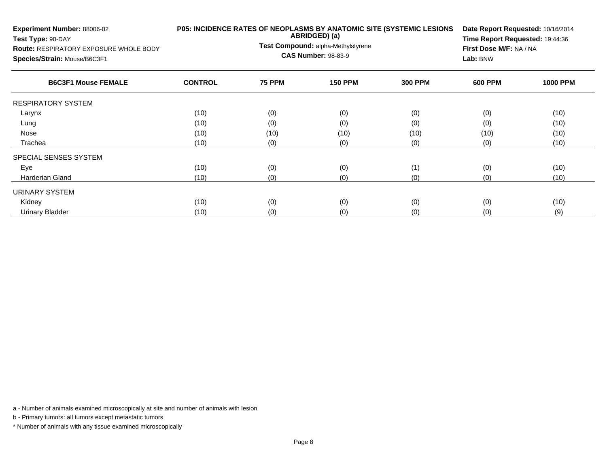| Experiment Number: 88006-02<br>Test Type: 90-DAY<br><b>Route: RESPIRATORY EXPOSURE WHOLE BODY</b><br>Species/Strain: Mouse/B6C3F1 |                | P05: INCIDENCE RATES OF NEOPLASMS BY ANATOMIC SITE (SYSTEMIC LESIONS<br>ABRIDGED) (a)<br>Test Compound: alpha-Methylstyrene<br><b>CAS Number: 98-83-9</b> | Date Report Requested: 10/16/2014<br>Time Report Requested: 19:44:36<br>First Dose M/F: NA / NA<br>Lab: BNW |                |                |                 |
|-----------------------------------------------------------------------------------------------------------------------------------|----------------|-----------------------------------------------------------------------------------------------------------------------------------------------------------|-------------------------------------------------------------------------------------------------------------|----------------|----------------|-----------------|
| <b>B6C3F1 Mouse FEMALE</b>                                                                                                        | <b>CONTROL</b> | <b>75 PPM</b>                                                                                                                                             | <b>150 PPM</b>                                                                                              | <b>300 PPM</b> | <b>600 PPM</b> | <b>1000 PPM</b> |
| <b>RESPIRATORY SYSTEM</b>                                                                                                         |                |                                                                                                                                                           |                                                                                                             |                |                |                 |
| Larynx                                                                                                                            | (10)           | (0)                                                                                                                                                       | (0)                                                                                                         | (0)            | (0)            | (10)            |
| Lung                                                                                                                              | (10)           | (0)                                                                                                                                                       | (0)                                                                                                         | (0)            | (0)            | (10)            |
| Nose                                                                                                                              | (10)           | (10)                                                                                                                                                      | (10)                                                                                                        | (10)           | (10)           | (10)            |
| Trachea                                                                                                                           | (10)           | (0)                                                                                                                                                       | (0)                                                                                                         | (0)            | (0)            | (10)            |
| SPECIAL SENSES SYSTEM                                                                                                             |                |                                                                                                                                                           |                                                                                                             |                |                |                 |
| Eye                                                                                                                               | (10)           | (0)                                                                                                                                                       | (0)                                                                                                         | (1)            | (0)            | (10)            |
| Harderian Gland                                                                                                                   | (10)           | (0)                                                                                                                                                       | (0)                                                                                                         | (0)            | (0)            | (10)            |
| <b>URINARY SYSTEM</b>                                                                                                             |                |                                                                                                                                                           |                                                                                                             |                |                |                 |
| Kidney                                                                                                                            | (10)           | (0)                                                                                                                                                       | (0)                                                                                                         | (0)            | (0)            | (10)            |
| Urinary Bladder                                                                                                                   | (10)           | (0)                                                                                                                                                       | (0)                                                                                                         | (0)            | (0)            | (9)             |

b - Primary tumors: all tumors except metastatic tumors